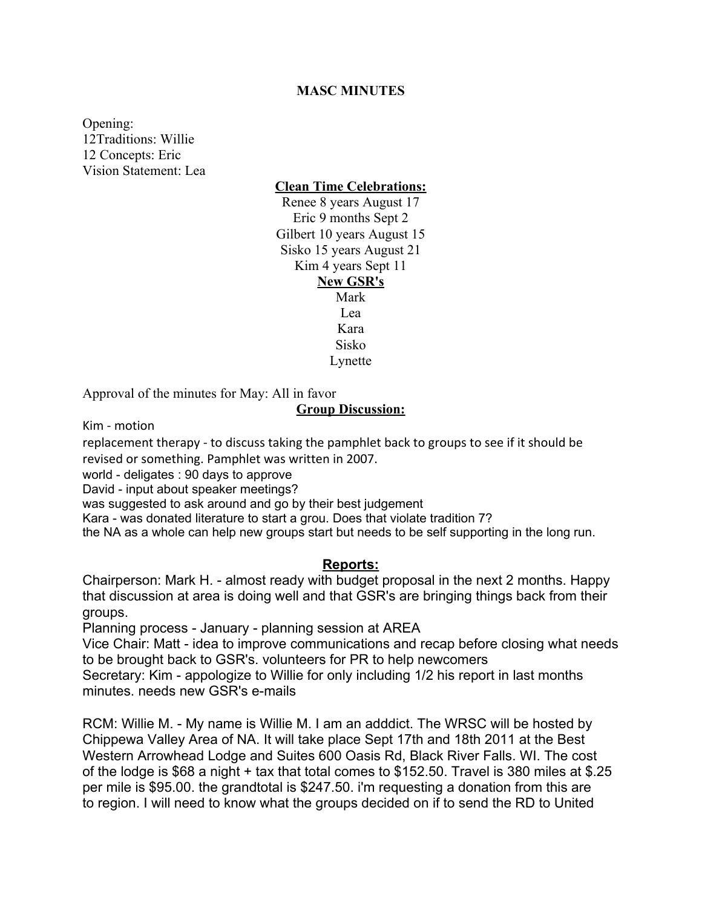# **MASC MINUTES**

Opening: 12Traditions: Willie 12 Concepts: Eric Vision Statement: Lea

**Clean Time Celebrations:**

Renee 8 years August 17 Eric 9 months Sept 2 Gilbert 10 years August 15 Sisko 15 years August 21 Kim 4 years Sept 11 **New GSR's**

> Mark  $Lea$ Kara Sisko Lynette

Approval of the minutes for May: All in favor

### **Group Discussion:**

Kim - motion

replacement therapy - to discuss taking the pamphlet back to groups to see if it should be revised or something. Pamphlet was written in 2007.

world - deligates : 90 days to approve

David - input about speaker meetings?

was suggested to ask around and go by their best judgement

Kara - was donated literature to start a grou. Does that violate tradition 7?

the NA as a whole can help new groups start but needs to be self supporting in the long run.

#### **Reports:**

Chairperson: Mark H. - almost ready with budget proposal in the next 2 months. Happy that discussion at area is doing well and that GSR's are bringing things back from their groups.

Planning process - January - planning session at AREA

Vice Chair: Matt - idea to improve communications and recap before closing what needs to be brought back to GSR's. volunteers for PR to help newcomers

Secretary: Kim - appologize to Willie for only including 1/2 his report in last months minutes. needs new GSR's e-mails

RCM: Willie M. - My name is Willie M. I am an adddict. The WRSC will be hosted by Chippewa Valley Area of NA. It will take place Sept 17th and 18th 2011 at the Best Western Arrowhead Lodge and Suites 600 Oasis Rd, Black River Falls. WI. The cost of the lodge is \$68 a night + tax that total comes to \$152.50. Travel is 380 miles at \$.25 per mile is \$95.00. the grandtotal is \$247.50. i'm requesting a donation from this are to region. I will need to know what the groups decided on if to send the RD to United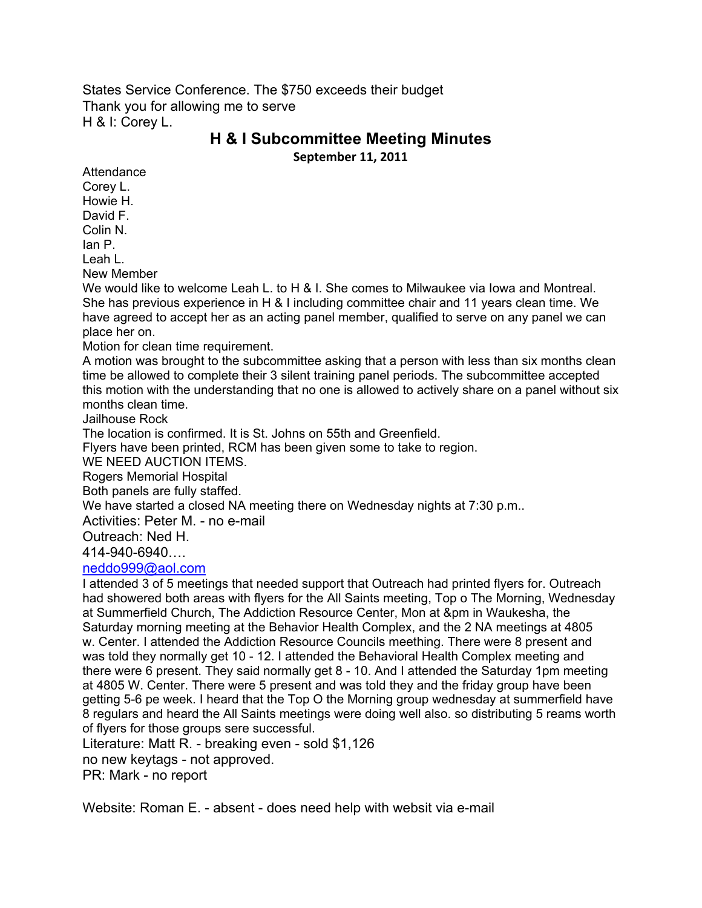States Service Conference. The \$750 exceeds their budget Thank you for allowing me to serve H & I: Corey L.

# **H & I Subcommittee Meeting Minutes September 11, 2011**

Attendance Corey L. Howie H. David F. Colin N.

Ian P.

Leah L.

New Member

We would like to welcome Leah L. to H & I. She comes to Milwaukee via lowa and Montreal. She has previous experience in H & I including committee chair and 11 years clean time. We have agreed to accept her as an acting panel member, qualified to serve on any panel we can place her on.

Motion for clean time requirement.

A motion was brought to the subcommittee asking that a person with less than six months clean time be allowed to complete their 3 silent training panel periods. The subcommittee accepted this motion with the understanding that no one is allowed to actively share on a panel without six months clean time.

Jailhouse Rock

The location is confirmed. It is St. Johns on 55th and Greenfield.

Flyers have been printed, RCM has been given some to take to region.

WE NEED AUCTION ITEMS.

Rogers Memorial Hospital

Both panels are fully staffed.

We have started a closed NA meeting there on Wednesday nights at 7:30 p.m..

Activities: Peter M. - no e-mail

Outreach: Ned H.

414-940-6940….

#### neddo999@aol.com

I attended 3 of 5 meetings that needed support that Outreach had printed flyers for. Outreach had showered both areas with flyers for the All Saints meeting, Top o The Morning, Wednesday at Summerfield Church, The Addiction Resource Center, Mon at &pm in Waukesha, the Saturday morning meeting at the Behavior Health Complex, and the 2 NA meetings at 4805 w. Center. I attended the Addiction Resource Councils meething. There were 8 present and was told they normally get 10 - 12. I attended the Behavioral Health Complex meeting and there were 6 present. They said normally get 8 - 10. And I attended the Saturday 1pm meeting at 4805 W. Center. There were 5 present and was told they and the friday group have been getting 5-6 pe week. I heard that the Top O the Morning group wednesday at summerfield have 8 regulars and heard the All Saints meetings were doing well also. so distributing 5 reams worth of flyers for those groups sere successful.

Literature: Matt R. - breaking even - sold \$1,126 no new keytags - not approved.

PR: Mark - no report

Website: Roman E. - absent - does need help with websit via e-mail